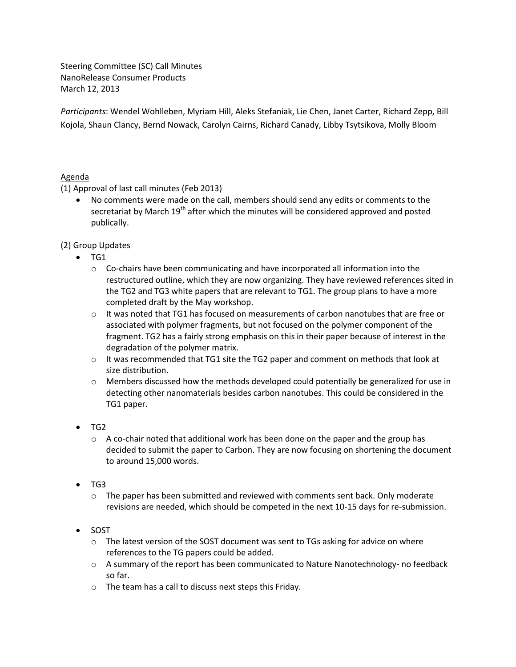Steering Committee (SC) Call Minutes NanoRelease Consumer Products March 12, 2013

*Participants*: Wendel Wohlleben, Myriam Hill, Aleks Stefaniak, Lie Chen, Janet Carter, Richard Zepp, Bill Kojola, Shaun Clancy, Bernd Nowack, Carolyn Cairns, Richard Canady, Libby Tsytsikova, Molly Bloom

## Agenda

(1) Approval of last call minutes (Feb 2013)

 No comments were made on the call, members should send any edits or comments to the secretariat by March 19<sup>th</sup> after which the minutes will be considered approved and posted publically.

## (2) Group Updates

- $\bullet$  TG1
	- $\circ$  Co-chairs have been communicating and have incorporated all information into the restructured outline, which they are now organizing. They have reviewed references sited in the TG2 and TG3 white papers that are relevant to TG1. The group plans to have a more completed draft by the May workshop.
	- o It was noted that TG1 has focused on measurements of carbon nanotubes that are free or associated with polymer fragments, but not focused on the polymer component of the fragment. TG2 has a fairly strong emphasis on this in their paper because of interest in the degradation of the polymer matrix.
	- o It was recommended that TG1 site the TG2 paper and comment on methods that look at size distribution.
	- $\circ$  Members discussed how the methods developed could potentially be generalized for use in detecting other nanomaterials besides carbon nanotubes. This could be considered in the TG1 paper.
- TG2
	- $\circ$  A co-chair noted that additional work has been done on the paper and the group has decided to submit the paper to Carbon. They are now focusing on shortening the document to around 15,000 words.
- TG3
	- $\circ$  The paper has been submitted and reviewed with comments sent back. Only moderate revisions are needed, which should be competed in the next 10-15 days for re-submission.
- SOST
	- $\circ$  The latest version of the SOST document was sent to TGs asking for advice on where references to the TG papers could be added.
	- o A summary of the report has been communicated to Nature Nanotechnology- no feedback so far.
	- o The team has a call to discuss next steps this Friday.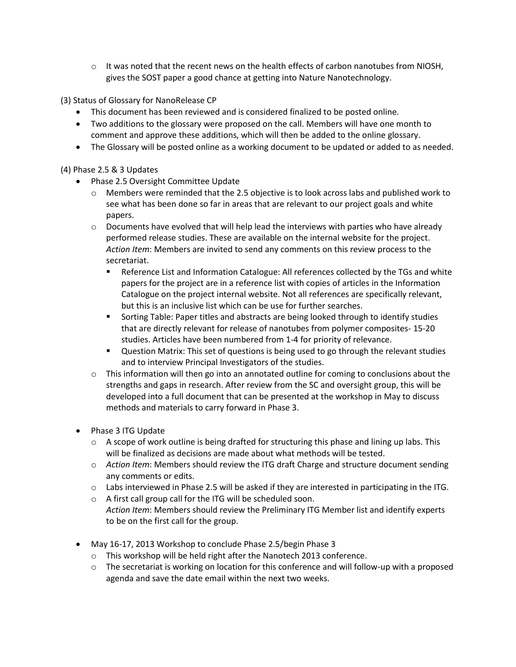$\circ$  It was noted that the recent news on the health effects of carbon nanotubes from NIOSH. gives the SOST paper a good chance at getting into Nature Nanotechnology.

(3) Status of Glossary for NanoRelease CP

- This document has been reviewed and is considered finalized to be posted online.
- Two additions to the glossary were proposed on the call. Members will have one month to comment and approve these additions, which will then be added to the online glossary.
- The Glossary will be posted online as a working document to be updated or added to as needed.

## (4) Phase 2.5 & 3 Updates

- Phase 2.5 Oversight Committee Update
	- o Members were reminded that the 2.5 objective is to look across labs and published work to see what has been done so far in areas that are relevant to our project goals and white papers.
	- $\circ$  Documents have evolved that will help lead the interviews with parties who have already performed release studies. These are available on the internal website for the project. *Action Item*: Members are invited to send any comments on this review process to the secretariat.
		- **EXECTE:** Reference List and Information Catalogue: All references collected by the TGs and white papers for the project are in a reference list with copies of articles in the Information Catalogue on the project internal website. Not all references are specifically relevant, but this is an inclusive list which can be use for further searches.
		- **Sorting Table: Paper titles and abstracts are being looked through to identify studies** that are directly relevant for release of nanotubes from polymer composites- 15-20 studies. Articles have been numbered from 1-4 for priority of relevance.
		- **ULE ST AT A UNITY CONCOCOLS 1** OUTSTART OUTSTART ON MATRIST **Propertion** Cuestion Matrix: This set of questions is being used to go through the relevant studies and to interview Principal Investigators of the studies.
	- $\circ$  This information will then go into an annotated outline for coming to conclusions about the strengths and gaps in research. After review from the SC and oversight group, this will be developed into a full document that can be presented at the workshop in May to discuss methods and materials to carry forward in Phase 3.
- Phase 3 ITG Update
	- $\circ$  A scope of work outline is being drafted for structuring this phase and lining up labs. This will be finalized as decisions are made about what methods will be tested.
	- o *Action Item*: Members should review the ITG draft Charge and structure document sending any comments or edits.
	- $\circ$  Labs interviewed in Phase 2.5 will be asked if they are interested in participating in the ITG.
	- o A first call group call for the ITG will be scheduled soon. *Action Item*: Members should review the Preliminary ITG Member list and identify experts to be on the first call for the group.
- May 16-17, 2013 Workshop to conclude Phase 2.5/begin Phase 3
	- o This workshop will be held right after the Nanotech 2013 conference.
	- $\circ$  The secretariat is working on location for this conference and will follow-up with a proposed agenda and save the date email within the next two weeks.